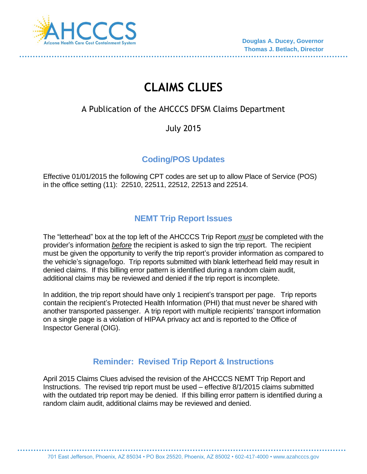

# **CLAIMS CLUES**

# A Publication of the AHCCCS DFSM Claims Department

July 2015

### **Coding/POS Updates**

Effective 01/01/2015 the following CPT codes are set up to allow Place of Service (POS) in the office setting (11): 22510, 22511, 22512, 22513 and 22514.

# **NEMT Trip Report Issues**

The "letterhead" box at the top left of the AHCCCS Trip Report *must* be completed with the provider's information *before* the recipient is asked to sign the trip report. The recipient must be given the opportunity to verify the trip report's provider information as compared to the vehicle's signage/logo. Trip reports submitted with blank letterhead field may result in denied claims. If this billing error pattern is identified during a random claim audit, additional claims may be reviewed and denied if the trip report is incomplete.

In addition, the trip report should have only 1 recipient's transport per page. Trip reports contain the recipient's Protected Health Information (PHI) that must never be shared with another transported passenger. A trip report with multiple recipients' transport information on a single page is a violation of HIPAA privacy act and is reported to the Office of Inspector General (OIG).

# **Reminder: Revised Trip Report & Instructions**

April 2015 Claims Clues advised the revision of the AHCCCS NEMT Trip Report and Instructions. The revised trip report must be used – effective 8/1/2015 claims submitted with the outdated trip report may be denied. If this billing error pattern is identified during a random claim audit, additional claims may be reviewed and denied.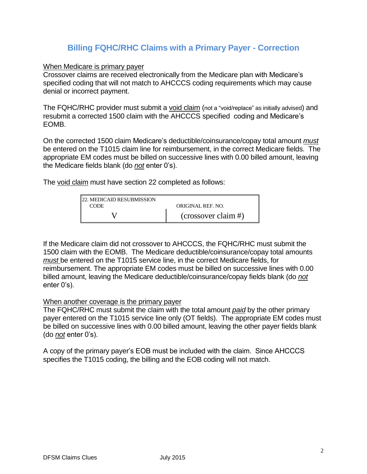#### **Billing FQHC/RHC Claims with a Primary Payer - Correction**

When Medicare is primary payer

Crossover claims are received electronically from the Medicare plan with Medicare's specified coding that will not match to AHCCCS coding requirements which may cause denial or incorrect payment.

The FQHC/RHC provider must submit a void claim (not a "void/replace" as initially advised) and resubmit a corrected 1500 claim with the AHCCCS specified coding and Medicare's EOMB.

On the corrected 1500 claim Medicare's deductible/coinsurance/copay total amount *must* be entered on the T1015 claim line for reimbursement, in the correct Medicare fields. The appropriate EM codes must be billed on successive lines with 0.00 billed amount, leaving the Medicare fields blank (do *not* enter 0's).

The void claim must have section 22 completed as follows:

| <b>22. MEDICAID RESUBMISSION</b> |                       |
|----------------------------------|-----------------------|
| <b>CODE</b>                      | ORIGINAL REF. NO.     |
|                                  | $(crossover claim$ #) |

If the Medicare claim did not crossover to AHCCCS, the FQHC/RHC must submit the 1500 claim with the EOMB. The Medicare deductible/coinsurance/copay total amounts *must* be entered on the T1015 service line, in the correct Medicare fields, for reimbursement. The appropriate EM codes must be billed on successive lines with 0.00 billed amount, leaving the Medicare deductible/coinsurance/copay fields blank (do *not* enter 0's).

#### When another coverage is the primary payer

The FQHC/RHC must submit the claim with the total amount *paid* by the other primary payer entered on the T1015 service line only (OT fields). The appropriate EM codes must be billed on successive lines with 0.00 billed amount, leaving the other payer fields blank (do *not* enter 0's).

A copy of the primary payer's EOB must be included with the claim. Since AHCCCS specifies the T1015 coding, the billing and the EOB coding will not match.